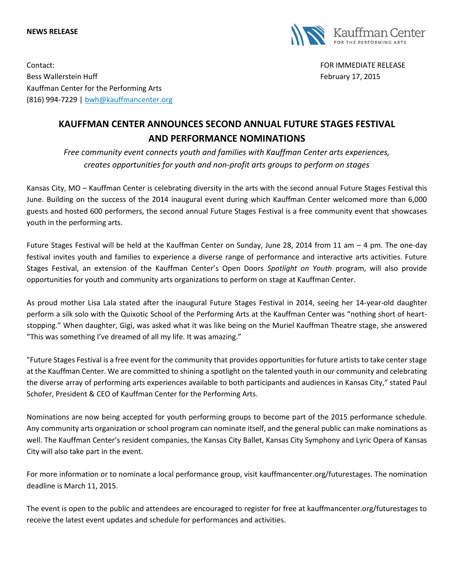## **NEWS RELEASE**



Contact: FOR IMMEDIATE RELEASE Bess Wallerstein Huff February 17, 2015 Kauffman Center for the Performing Arts (816) 994-7229 | [bwh@kauffmancenter.org](mailto:bwh@kauffmancenter.org)

## **KAUFFMAN CENTER ANNOUNCES SECOND ANNUAL FUTURE STAGES FESTIVAL AND PERFORMANCE NOMINATIONS**

*Free community event connects youth and families with Kauffman Center arts experiences, creates opportunities for youth and non-profit arts groups to perform on stages*

Kansas City, MO – Kauffman Center is celebrating diversity in the arts with the second annual Future Stages Festival this June. Building on the success of the 2014 inaugural event during which Kauffman Center welcomed more than 6,000 guests and hosted 600 performers, the second annual Future Stages Festival is a free community event that showcases youth in the performing arts.

Future Stages Festival will be held at the Kauffman Center on Sunday, June 28, 2014 from 11 am – 4 pm. The one-day festival invites youth and families to experience a diverse range of performance and interactive arts activities. Future Stages Festival, an extension of the Kauffman Center's Open Doors *Spotlight on Youth* program, will also provide opportunities for youth and community arts organizations to perform on stage at Kauffman Center.

As proud mother Lisa Lala stated after the inaugural Future Stages Festival in 2014, seeing her 14-year-old daughter perform a silk solo with the Quixotic School of the Performing Arts at the Kauffman Center was "nothing short of heartstopping." When daughter, Gigi, was asked what it was like being on the Muriel Kauffman Theatre stage, she answered "This was something I've dreamed of all my life. It was amazing."

"Future Stages Festival is a free event for the community that provides opportunities for future artists to take center stage at the Kauffman Center. We are committed to shining a spotlight on the talented youth in our community and celebrating the diverse array of performing arts experiences available to both participants and audiences in Kansas City," stated Paul Schofer, President & CEO of Kauffman Center for the Performing Arts.

Nominations are now being accepted for youth performing groups to become part of the 2015 performance schedule. Any community arts organization or school program can nominate itself, and the general public can make nominations as well. The Kauffman Center's resident companies, the Kansas City Ballet, Kansas City Symphony and Lyric Opera of Kansas City will also take part in the event.

For more information or to nominate a local performance group, visit kauffmancenter.org/futurestages. The nomination deadline is March 11, 2015.

The event is open to the public and attendees are encouraged to register for free at kauffmancenter.org/futurestages to receive the latest event updates and schedule for performances and activities.